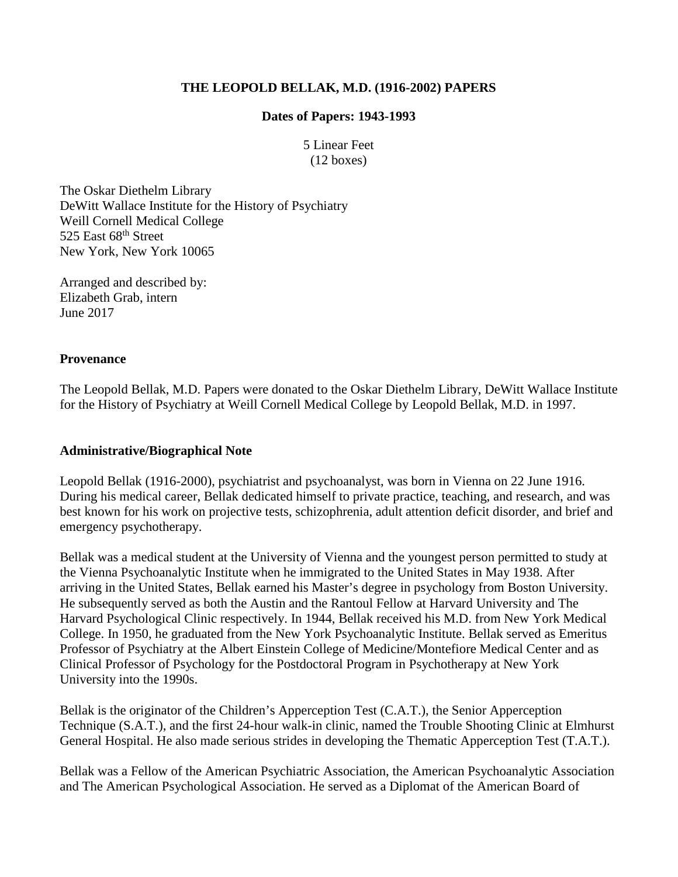#### **THE LEOPOLD BELLAK, M.D. (1916-2002) PAPERS**

#### **Dates of Papers: 1943-1993**

5 Linear Feet (12 boxes)

The Oskar Diethelm Library DeWitt Wallace Institute for the History of Psychiatry Weill Cornell Medical College 525 East 68<sup>th</sup> Street New York, New York 10065

Arranged and described by: Elizabeth Grab, intern June 2017

#### **Provenance**

The Leopold Bellak, M.D. Papers were donated to the Oskar Diethelm Library, DeWitt Wallace Institute for the History of Psychiatry at Weill Cornell Medical College by Leopold Bellak, M.D. in 1997.

#### **Administrative/Biographical Note**

Leopold Bellak (1916-2000), psychiatrist and psychoanalyst, was born in Vienna on 22 June 1916. During his medical career, Bellak dedicated himself to private practice, teaching, and research, and was best known for his work on projective tests, schizophrenia, adult attention deficit disorder, and brief and emergency psychotherapy.

Bellak was a medical student at the University of Vienna and the youngest person permitted to study at the Vienna Psychoanalytic Institute when he immigrated to the United States in May 1938. After arriving in the United States, Bellak earned his Master's degree in psychology from Boston University. He subsequently served as both the Austin and the Rantoul Fellow at Harvard University and The Harvard Psychological Clinic respectively. In 1944, Bellak received his M.D. from New York Medical College. In 1950, he graduated from the New York Psychoanalytic Institute. Bellak served as Emeritus Professor of Psychiatry at the Albert Einstein College of Medicine/Montefiore Medical Center and as Clinical Professor of Psychology for the Postdoctoral Program in Psychotherapy at New York University into the 1990s.

Bellak is the originator of the Children's Apperception Test (C.A.T.), the Senior Apperception Technique (S.A.T.), and the first 24-hour walk-in clinic, named the Trouble Shooting Clinic at Elmhurst General Hospital. He also made serious strides in developing the Thematic Apperception Test (T.A.T.).

Bellak was a Fellow of the American Psychiatric Association, the American Psychoanalytic Association and The American Psychological Association. He served as a Diplomat of the American Board of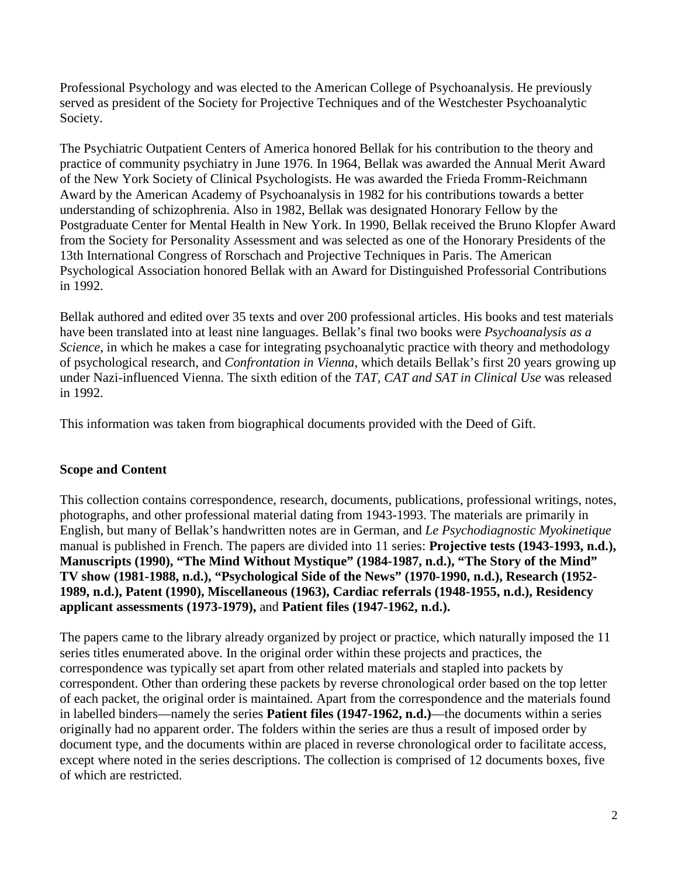Professional Psychology and was elected to the American College of Psychoanalysis. He previously served as president of the Society for Projective Techniques and of the Westchester Psychoanalytic Society.

The Psychiatric Outpatient Centers of America honored Bellak for his contribution to the theory and practice of community psychiatry in June 1976. In 1964, Bellak was awarded the Annual Merit Award of the New York Society of Clinical Psychologists. He was awarded the Frieda Fromm-Reichmann Award by the American Academy of Psychoanalysis in 1982 for his contributions towards a better understanding of schizophrenia. Also in 1982, Bellak was designated Honorary Fellow by the Postgraduate Center for Mental Health in New York. In 1990, Bellak received the Bruno Klopfer Award from the Society for Personality Assessment and was selected as one of the Honorary Presidents of the 13th International Congress of Rorschach and Projective Techniques in Paris. The American Psychological Association honored Bellak with an Award for Distinguished Professorial Contributions in 1992.

Bellak authored and edited over 35 texts and over 200 professional articles. His books and test materials have been translated into at least nine languages. Bellak's final two books were *Psychoanalysis as a Science*, in which he makes a case for integrating psychoanalytic practice with theory and methodology of psychological research, and *Confrontation in Vienna*, which details Bellak's first 20 years growing up under Nazi-influenced Vienna. The sixth edition of the *TAT, CAT and SAT in Clinical Use* was released in 1992.

This information was taken from biographical documents provided with the Deed of Gift.

### **Scope and Content**

This collection contains correspondence, research, documents, publications, professional writings, notes, photographs, and other professional material dating from 1943-1993. The materials are primarily in English, but many of Bellak's handwritten notes are in German, and *Le Psychodiagnostic Myokinetique* manual is published in French. The papers are divided into 11 series: **Projective tests (1943-1993, n.d.), Manuscripts (1990), "The Mind Without Mystique" (1984-1987, n.d.), "The Story of the Mind" TV show (1981-1988, n.d.), "Psychological Side of the News" (1970-1990, n.d.), Research (1952- 1989, n.d.), Patent (1990), Miscellaneous (1963), Cardiac referrals (1948-1955, n.d.), Residency applicant assessments (1973-1979),** and **Patient files (1947-1962, n.d.).**

The papers came to the library already organized by project or practice, which naturally imposed the 11 series titles enumerated above. In the original order within these projects and practices, the correspondence was typically set apart from other related materials and stapled into packets by correspondent. Other than ordering these packets by reverse chronological order based on the top letter of each packet, the original order is maintained. Apart from the correspondence and the materials found in labelled binders—namely the series **Patient files (1947-1962, n.d.)**—the documents within a series originally had no apparent order. The folders within the series are thus a result of imposed order by document type, and the documents within are placed in reverse chronological order to facilitate access, except where noted in the series descriptions. The collection is comprised of 12 documents boxes, five of which are restricted.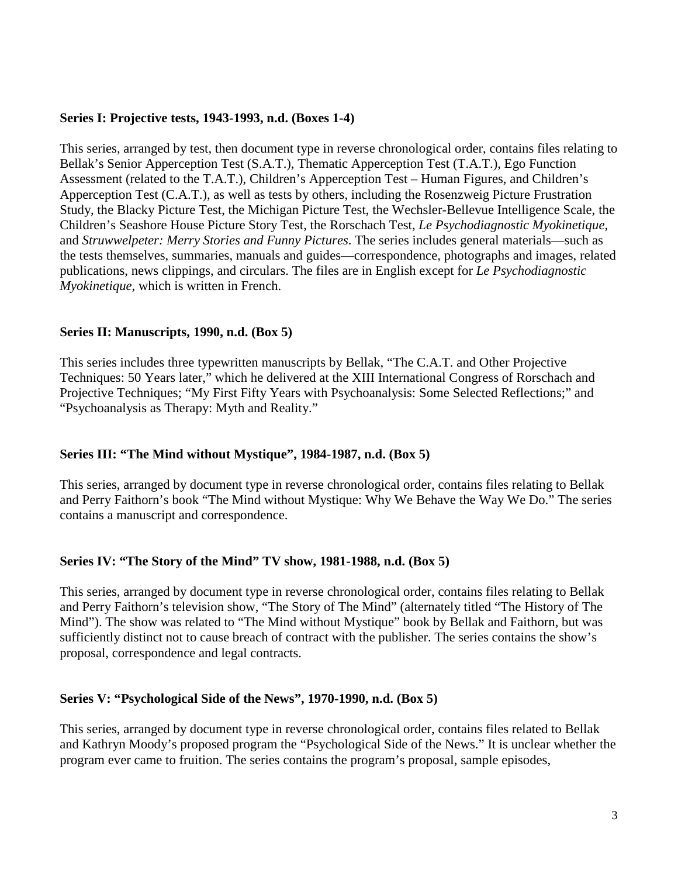#### **Series I: Projective tests, 1943-1993, n.d. (Boxes 1-4)**

This series, arranged by test, then document type in reverse chronological order, contains files relating to Bellak's Senior Apperception Test (S.A.T.), Thematic Apperception Test (T.A.T.), Ego Function Assessment (related to the T.A.T.), Children's Apperception Test – Human Figures, and Children's Apperception Test (C.A.T.), as well as tests by others, including the Rosenzweig Picture Frustration Study, the Blacky Picture Test, the Michigan Picture Test, the Wechsler-Bellevue Intelligence Scale, the Children's Seashore House Picture Story Test, the Rorschach Test, *Le Psychodiagnostic Myokinetique*, and *Struwwelpeter: Merry Stories and Funny Pictures*. The series includes general materials—such as the tests themselves, summaries, manuals and guides—correspondence, photographs and images, related publications, news clippings, and circulars. The files are in English except for *Le Psychodiagnostic Myokinetique*, which is written in French.

#### **Series II: Manuscripts, 1990, n.d. (Box 5)**

This series includes three typewritten manuscripts by Bellak, "The C.A.T. and Other Projective Techniques: 50 Years later," which he delivered at the XIII International Congress of Rorschach and Projective Techniques; "My First Fifty Years with Psychoanalysis: Some Selected Reflections;" and "Psychoanalysis as Therapy: Myth and Reality."

#### **Series III: "The Mind without Mystique", 1984-1987, n.d. (Box 5)**

This series, arranged by document type in reverse chronological order, contains files relating to Bellak and Perry Faithorn's book "The Mind without Mystique: Why We Behave the Way We Do." The series contains a manuscript and correspondence.

#### **Series IV: "The Story of the Mind" TV show, 1981-1988, n.d. (Box 5)**

This series, arranged by document type in reverse chronological order, contains files relating to Bellak and Perry Faithorn's television show, "The Story of The Mind" (alternately titled "The History of The Mind"). The show was related to "The Mind without Mystique" book by Bellak and Faithorn, but was sufficiently distinct not to cause breach of contract with the publisher. The series contains the show's proposal, correspondence and legal contracts.

#### **Series V: "Psychological Side of the News", 1970-1990, n.d. (Box 5)**

This series, arranged by document type in reverse chronological order, contains files related to Bellak and Kathryn Moody's proposed program the "Psychological Side of the News." It is unclear whether the program ever came to fruition. The series contains the program's proposal, sample episodes,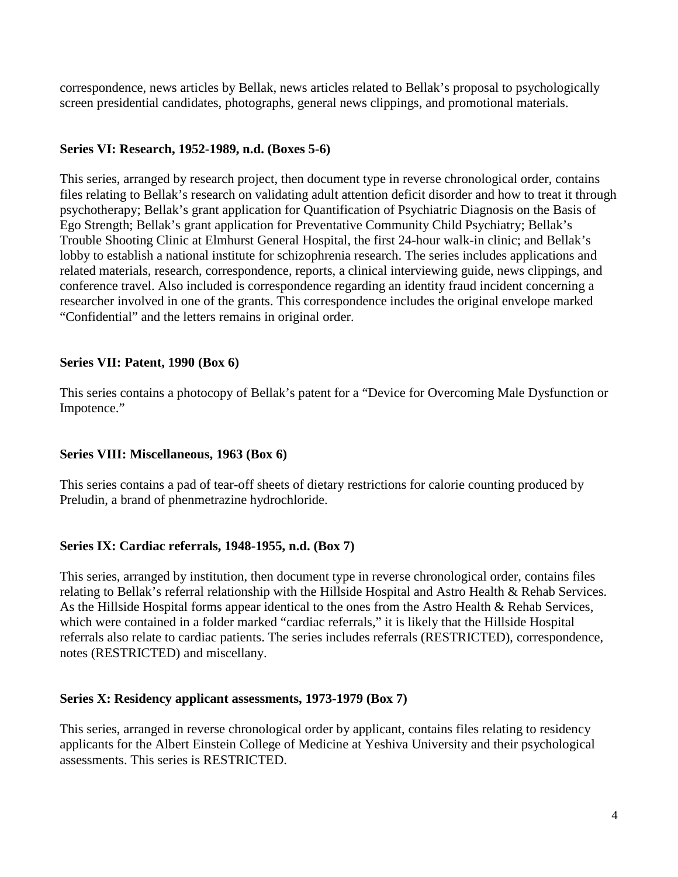correspondence, news articles by Bellak, news articles related to Bellak's proposal to psychologically screen presidential candidates, photographs, general news clippings, and promotional materials.

#### **Series VI: Research, 1952-1989, n.d. (Boxes 5-6)**

This series, arranged by research project, then document type in reverse chronological order, contains files relating to Bellak's research on validating adult attention deficit disorder and how to treat it through psychotherapy; Bellak's grant application for Quantification of Psychiatric Diagnosis on the Basis of Ego Strength; Bellak's grant application for Preventative Community Child Psychiatry; Bellak's Trouble Shooting Clinic at Elmhurst General Hospital, the first 24-hour walk-in clinic; and Bellak's lobby to establish a national institute for schizophrenia research. The series includes applications and related materials, research, correspondence, reports, a clinical interviewing guide, news clippings, and conference travel. Also included is correspondence regarding an identity fraud incident concerning a researcher involved in one of the grants. This correspondence includes the original envelope marked "Confidential" and the letters remains in original order.

#### **Series VII: Patent, 1990 (Box 6)**

This series contains a photocopy of Bellak's patent for a "Device for Overcoming Male Dysfunction or Impotence."

#### **Series VIII: Miscellaneous, 1963 (Box 6)**

This series contains a pad of tear-off sheets of dietary restrictions for calorie counting produced by Preludin, a brand of phenmetrazine hydrochloride.

#### **Series IX: Cardiac referrals, 1948-1955, n.d. (Box 7)**

This series, arranged by institution, then document type in reverse chronological order, contains files relating to Bellak's referral relationship with the Hillside Hospital and Astro Health & Rehab Services. As the Hillside Hospital forms appear identical to the ones from the Astro Health & Rehab Services, which were contained in a folder marked "cardiac referrals," it is likely that the Hillside Hospital referrals also relate to cardiac patients. The series includes referrals (RESTRICTED), correspondence, notes (RESTRICTED) and miscellany.

#### **Series X: Residency applicant assessments, 1973-1979 (Box 7)**

This series, arranged in reverse chronological order by applicant, contains files relating to residency applicants for the Albert Einstein College of Medicine at Yeshiva University and their psychological assessments. This series is RESTRICTED.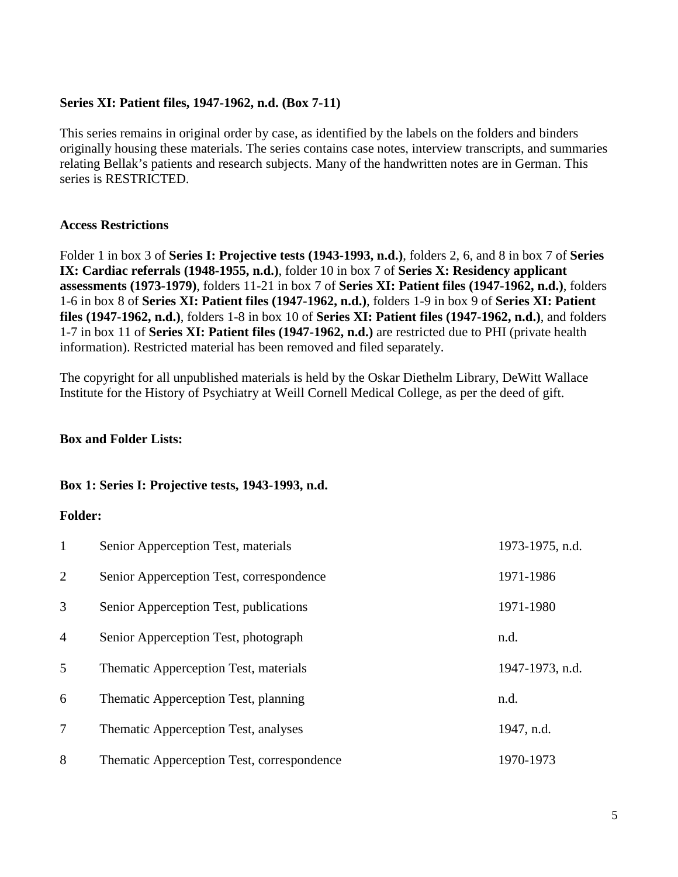#### **Series XI: Patient files, 1947-1962, n.d. (Box 7-11)**

This series remains in original order by case, as identified by the labels on the folders and binders originally housing these materials. The series contains case notes, interview transcripts, and summaries relating Bellak's patients and research subjects. Many of the handwritten notes are in German. This series is RESTRICTED.

#### **Access Restrictions**

Folder 1 in box 3 of **Series I: Projective tests (1943-1993, n.d.)**, folders 2, 6, and 8 in box 7 of **Series IX: Cardiac referrals (1948-1955, n.d.)**, folder 10 in box 7 of **Series X: Residency applicant assessments (1973-1979)**, folders 11-21 in box 7 of **Series XI: Patient files (1947-1962, n.d.)**, folders 1-6 in box 8 of **Series XI: Patient files (1947-1962, n.d.)**, folders 1-9 in box 9 of **Series XI: Patient files (1947-1962, n.d.)**, folders 1-8 in box 10 of **Series XI: Patient files (1947-1962, n.d.)**, and folders 1-7 in box 11 of **Series XI: Patient files (1947-1962, n.d.)** are restricted due to PHI (private health information). Restricted material has been removed and filed separately.

The copyright for all unpublished materials is held by the Oskar Diethelm Library, DeWitt Wallace Institute for the History of Psychiatry at Weill Cornell Medical College, as per the deed of gift.

#### **Box and Folder Lists:**

#### **Box 1: Series I: Projective tests, 1943-1993, n.d.**

| $\mathbf{1}$   | Senior Apperception Test, materials        | 1973-1975, n.d. |
|----------------|--------------------------------------------|-----------------|
| $\overline{2}$ | Senior Apperception Test, correspondence   | 1971-1986       |
| 3              | Senior Apperception Test, publications     | 1971-1980       |
| $\overline{4}$ | Senior Apperception Test, photograph       | n.d.            |
| 5              | Thematic Apperception Test, materials      | 1947-1973, n.d. |
| 6              | Thematic Apperception Test, planning       | n.d.            |
| 7              | Thematic Apperception Test, analyses       | 1947, n.d.      |
| 8              | Thematic Apperception Test, correspondence | 1970-1973       |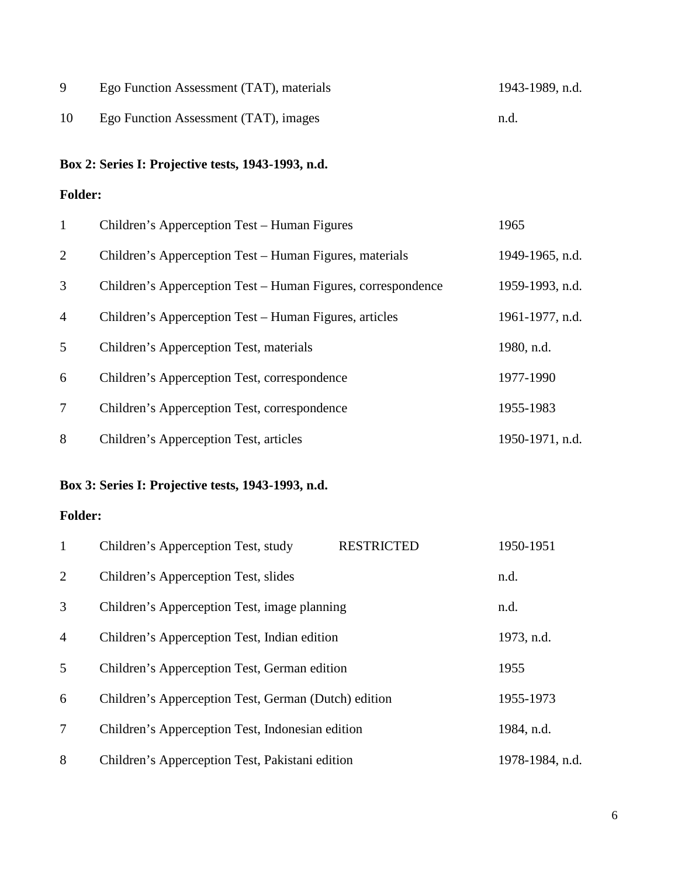|    | Ego Function Assessment (TAT), materials | 1943-1989, n.d. |
|----|------------------------------------------|-----------------|
| 10 | Ego Function Assessment (TAT), images    | n.d.            |

# **Box 2: Series I: Projective tests, 1943-1993, n.d.**

### **Folder:**

| $\mathbf{1}$   | Children's Apperception Test – Human Figures                 | 1965            |
|----------------|--------------------------------------------------------------|-----------------|
| 2              | Children's Apperception Test – Human Figures, materials      | 1949-1965, n.d. |
| 3              | Children's Apperception Test – Human Figures, correspondence | 1959-1993, n.d. |
| $\overline{4}$ | Children's Apperception Test – Human Figures, articles       | 1961-1977, n.d. |
| 5              | Children's Apperception Test, materials                      | 1980, n.d.      |
| 6              | Children's Apperception Test, correspondence                 | 1977-1990       |
| $\tau$         | Children's Apperception Test, correspondence                 | 1955-1983       |
| 8              | Children's Apperception Test, articles                       | 1950-1971, n.d. |

# **Box 3: Series I: Projective tests, 1943-1993, n.d.**

| $\mathbf{1}$   | Children's Apperception Test, study                  | <b>RESTRICTED</b> | 1950-1951       |
|----------------|------------------------------------------------------|-------------------|-----------------|
| 2              | Children's Apperception Test, slides                 |                   | n.d.            |
| 3              | Children's Apperception Test, image planning         |                   | n.d.            |
| $\overline{4}$ | Children's Apperception Test, Indian edition         |                   | 1973, n.d.      |
| 5              | Children's Apperception Test, German edition         |                   | 1955            |
| 6              | Children's Apperception Test, German (Dutch) edition |                   | 1955-1973       |
| 7              | Children's Apperception Test, Indonesian edition     |                   | 1984, n.d.      |
| 8              | Children's Apperception Test, Pakistani edition      |                   | 1978-1984, n.d. |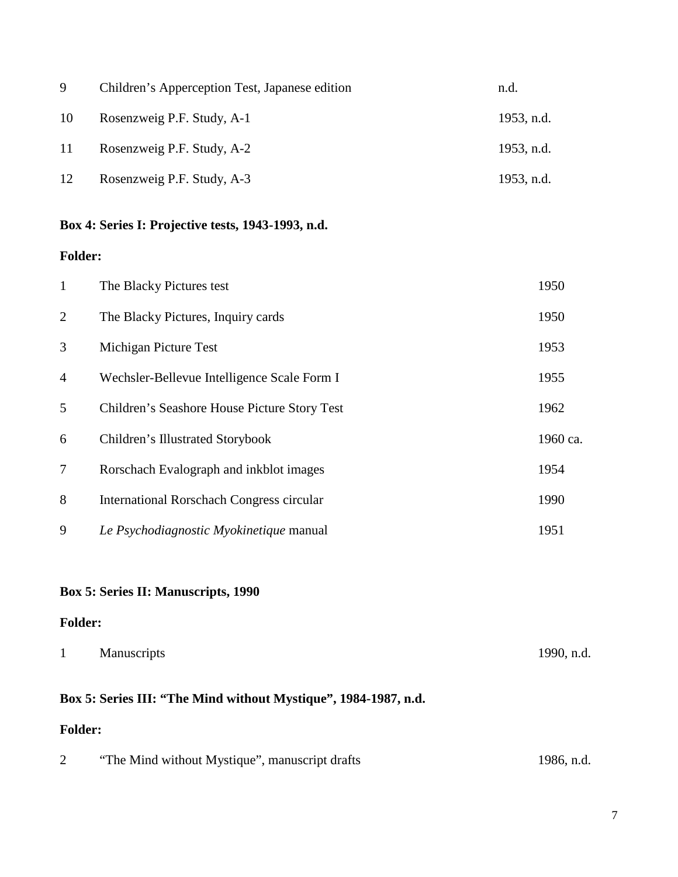| 9  | Children's Apperception Test, Japanese edition | n.d.       |
|----|------------------------------------------------|------------|
| 10 | Rosenzweig P.F. Study, A-1                     | 1953, n.d. |
| 11 | Rosenzweig P.F. Study, A-2                     | 1953, n.d. |
| 12 | Rosenzweig P.F. Study, A-3                     | 1953, n.d. |

### **Box 4: Series I: Projective tests, 1943-1993, n.d.**

### **Folder:**

| $\mathbf{1}$   | The Blacky Pictures test                     | 1950     |
|----------------|----------------------------------------------|----------|
| 2              | The Blacky Pictures, Inquiry cards           | 1950     |
| 3              | Michigan Picture Test                        | 1953     |
| $\overline{4}$ | Wechsler-Bellevue Intelligence Scale Form I  | 1955     |
| 5              | Children's Seashore House Picture Story Test | 1962     |
| 6              | Children's Illustrated Storybook             | 1960 ca. |
| 7              | Rorschach Evalograph and inkblot images      | 1954     |
| 8              | International Rorschach Congress circular    | 1990     |
| 9              | Le Psychodiagnostic Myokinetique manual      | 1951     |

### **Box 5: Series II: Manuscripts, 1990**

### **Folder:**

| <b>Manuscripts</b> | 1990, n.d. |
|--------------------|------------|
|                    |            |

# **Box 5: Series III: "The Mind without Mystique", 1984-1987, n.d.**

|  | "The Mind without Mystique", manuscript drafts | 1986, n.d. |
|--|------------------------------------------------|------------|
|--|------------------------------------------------|------------|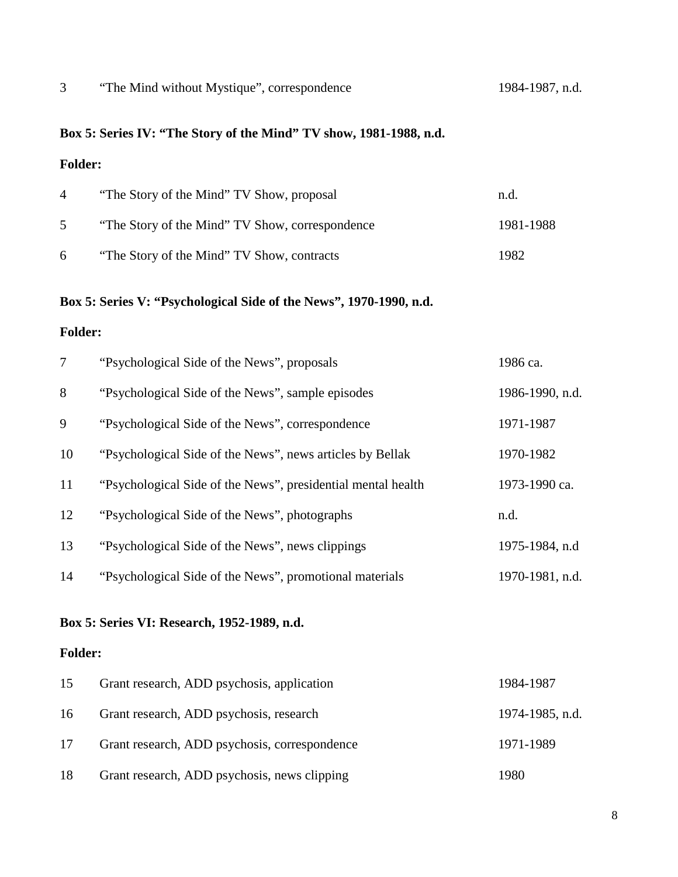### "The Mind without Mystique", correspondence 1984-1987, n.d.

# **Box 5: Series IV: "The Story of the Mind" TV show, 1981-1988, n.d.**

### **Folder:**

| $\overline{4}$ | "The Story of the Mind" TV Show, proposal       | n.d.      |
|----------------|-------------------------------------------------|-----------|
| 5              | "The Story of the Mind" TV Show, correspondence | 1981-1988 |
| 6              | "The Story of the Mind" TV Show, contracts      | 1982      |

### **Box 5: Series V: "Psychological Side of the News", 1970-1990, n.d.**

### **Folder:**

| $\overline{7}$ | "Psychological Side of the News", proposals                  | 1986 ca.        |
|----------------|--------------------------------------------------------------|-----------------|
| 8              | "Psychological Side of the News", sample episodes            | 1986-1990, n.d. |
| 9              | "Psychological Side of the News", correspondence             | 1971-1987       |
| 10             | "Psychological Side of the News", news articles by Bellak    | 1970-1982       |
| 11             | "Psychological Side of the News", presidential mental health | 1973-1990 ca.   |
| 12             | "Psychological Side of the News", photographs                | n.d.            |
| 13             | "Psychological Side of the News", news clippings             | 1975-1984, n.d  |
| 14             | "Psychological Side of the News", promotional materials      | 1970-1981, n.d. |

### **Box 5: Series VI: Research, 1952-1989, n.d.**

| 15 | Grant research, ADD psychosis, application    | 1984-1987       |
|----|-----------------------------------------------|-----------------|
| 16 | Grant research, ADD psychosis, research       | 1974-1985, n.d. |
| 17 | Grant research, ADD psychosis, correspondence | 1971-1989       |
| 18 | Grant research, ADD psychosis, news clipping  | 1980            |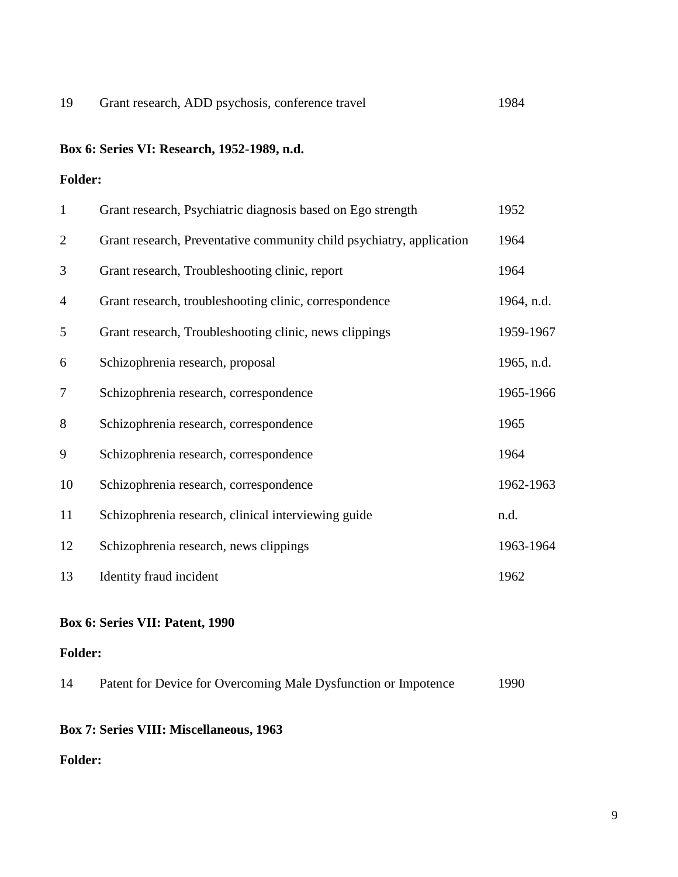# **Box 6: Series VI: Research, 1952-1989, n.d.**

### **Folder:**

| $\mathbf{1}$   | Grant research, Psychiatric diagnosis based on Ego strength          | 1952       |
|----------------|----------------------------------------------------------------------|------------|
| 2              | Grant research, Preventative community child psychiatry, application | 1964       |
| 3              | Grant research, Troubleshooting clinic, report                       | 1964       |
| $\overline{4}$ | Grant research, troubleshooting clinic, correspondence               | 1964, n.d. |
| 5              | Grant research, Troubleshooting clinic, news clippings               | 1959-1967  |
| 6              | Schizophrenia research, proposal                                     | 1965, n.d. |
| 7              | Schizophrenia research, correspondence                               | 1965-1966  |
| 8              | Schizophrenia research, correspondence                               | 1965       |
| 9              | Schizophrenia research, correspondence                               | 1964       |
| 10             | Schizophrenia research, correspondence                               | 1962-1963  |
| 11             | Schizophrenia research, clinical interviewing guide                  | n.d.       |
| 12             | Schizophrenia research, news clippings                               | 1963-1964  |
| 13             | Identity fraud incident                                              | 1962       |

### **Box 6: Series VII: Patent, 1990**

### **Folder:**

| 14 | Patent for Device for Overcoming Male Dysfunction or Impotence | 1990 |
|----|----------------------------------------------------------------|------|
|    |                                                                |      |

### **Box 7: Series VIII: Miscellaneous, 1963**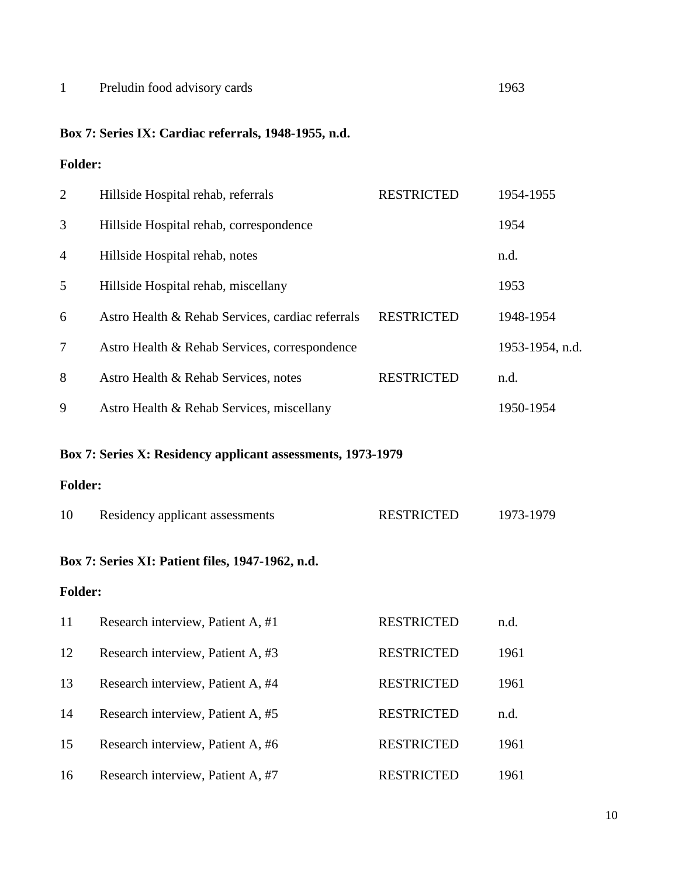# 1 Preludin food advisory cards 1963

# **Box 7: Series IX: Cardiac referrals, 1948-1955, n.d.**

| $\overline{2}$ | Hillside Hospital rehab, referrals                          | <b>RESTRICTED</b> | 1954-1955       |
|----------------|-------------------------------------------------------------|-------------------|-----------------|
| 3              | Hillside Hospital rehab, correspondence                     |                   | 1954            |
| 4              | Hillside Hospital rehab, notes                              |                   | n.d.            |
| 5              | Hillside Hospital rehab, miscellany                         |                   | 1953            |
| 6              | Astro Health & Rehab Services, cardiac referrals            | <b>RESTRICTED</b> | 1948-1954       |
| 7              | Astro Health & Rehab Services, correspondence               |                   | 1953-1954, n.d. |
| 8              | Astro Health & Rehab Services, notes                        | <b>RESTRICTED</b> | n.d.            |
| 9              | Astro Health & Rehab Services, miscellany                   |                   | 1950-1954       |
|                | Box 7: Series X: Residency applicant assessments, 1973-1979 |                   |                 |
| <b>Folder:</b> |                                                             |                   |                 |
| 10             | Residency applicant assessments                             | <b>RESTRICTED</b> | 1973-1979       |
|                | Box 7: Series XI: Patient files, 1947-1962, n.d.            |                   |                 |
| <b>Folder:</b> |                                                             |                   |                 |
| 11             | Research interview, Patient A, #1                           | <b>RESTRICTED</b> | n.d.            |
| 12             | Research interview, Patient A, #3                           | <b>RESTRICTED</b> | 1961            |
| 13             | Research interview, Patient A, #4                           | <b>RESTRICTED</b> | 1961            |
| 14             | Research interview, Patient A, #5                           | <b>RESTRICTED</b> | n.d.            |
| 15             | Research interview, Patient A, #6                           | <b>RESTRICTED</b> | 1961            |
| 16             | Research interview, Patient A, #7                           | <b>RESTRICTED</b> | 1961            |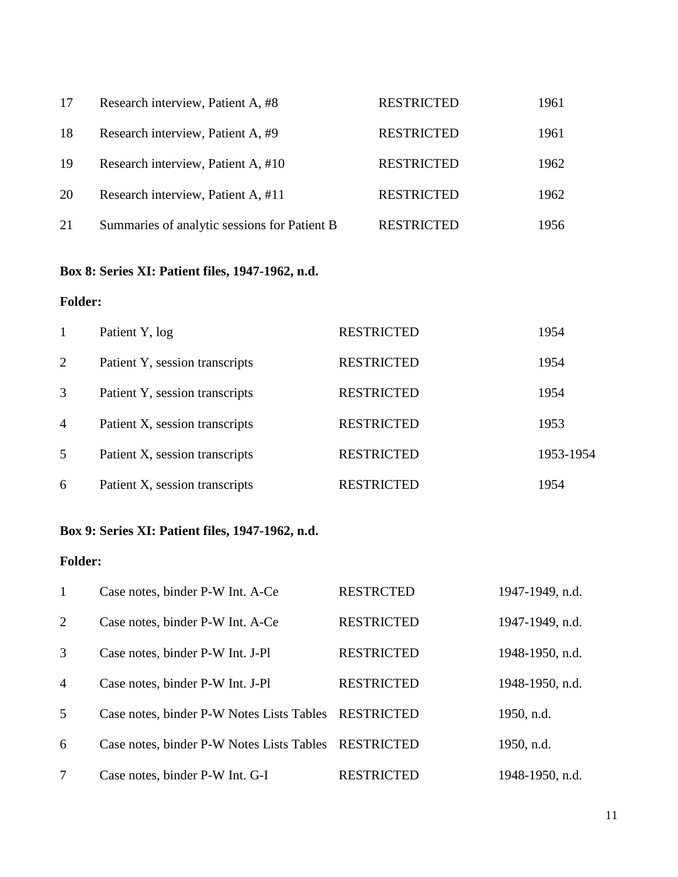| 17 | Research interview, Patient A, #8            | <b>RESTRICTED</b> | 1961 |
|----|----------------------------------------------|-------------------|------|
| 18 | Research interview, Patient A, #9            | <b>RESTRICTED</b> | 1961 |
| 19 | Research interview, Patient A, #10           | <b>RESTRICTED</b> | 1962 |
| 20 | Research interview, Patient A, #11           | <b>RESTRICTED</b> | 1962 |
| 21 | Summaries of analytic sessions for Patient B | <b>RESTRICTED</b> | 1956 |

# **Box 8: Series XI: Patient files, 1947-1962, n.d.**

### **Folder:**

|                | Patient Y, log                 | <b>RESTRICTED</b> | 1954      |
|----------------|--------------------------------|-------------------|-----------|
| 2              | Patient Y, session transcripts | <b>RESTRICTED</b> | 1954      |
| 3              | Patient Y, session transcripts | <b>RESTRICTED</b> | 1954      |
| $\overline{4}$ | Patient X, session transcripts | <b>RESTRICTED</b> | 1953      |
| 5              | Patient X, session transcripts | <b>RESTRICTED</b> | 1953-1954 |
| 6              | Patient X, session transcripts | <b>RESTRICTED</b> | 1954      |

# **Box 9: Series XI: Patient files, 1947-1962, n.d.**

| $\mathbf{1}$   | Case notes, binder P-W Int. A-Ce                     | <b>RESTRCTED</b>  | 1947-1949, n.d. |
|----------------|------------------------------------------------------|-------------------|-----------------|
| 2              | Case notes, binder P-W Int. A-Ce                     | <b>RESTRICTED</b> | 1947-1949, n.d. |
| 3              | Case notes, binder P-W Int. J-Pl                     | <b>RESTRICTED</b> | 1948-1950, n.d. |
| $\overline{4}$ | Case notes, binder P-W Int. J-Pl                     | <b>RESTRICTED</b> | 1948-1950, n.d. |
| 5              | Case notes, binder P-W Notes Lists Tables            | RESTRICTED        | 1950, n.d.      |
| 6              | Case notes, binder P-W Notes Lists Tables RESTRICTED |                   | 1950, n.d.      |
| 7              | Case notes, binder P-W Int. G-I                      | <b>RESTRICTED</b> | 1948-1950, n.d. |